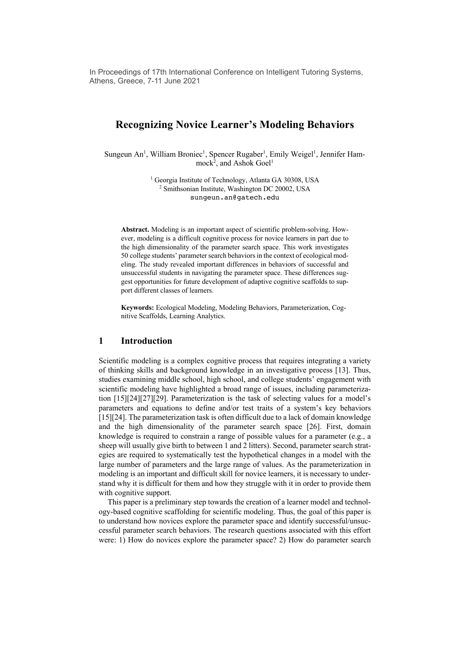In Proceedings of 17th International Conference on Intelligent Tutoring Systems, Athens, Greece, 7-11 June 2021

# **Recognizing Novice Learner's Modeling Behaviors**

Sungeun An<sup>1</sup>, William Broniec<sup>1</sup>, Spencer Rugaber<sup>1</sup>, Emily Weigel<sup>1</sup>, Jennifer Ham $mock<sup>2</sup>$ , and Ashok Goel<sup>1</sup>

> <sup>1</sup> Georgia Institute of Technology, Atlanta GA 30308, USA <sup>2</sup> Smithsonian Institute, Washington DC 20002, USA sungeun.an@gatech.edu

**Abstract.** Modeling is an important aspect of scientific problem-solving. However, modeling is a difficult cognitive process for novice learners in part due to the high dimensionality of the parameter search space. This work investigates 50 college students' parameter search behaviors in the context of ecological modeling. The study revealed important differences in behaviors of successful and unsuccessful students in navigating the parameter space. These differences suggest opportunities for future development of adaptive cognitive scaffolds to support different classes of learners.

**Keywords:** Ecological Modeling, Modeling Behaviors, Parameterization, Cognitive Scaffolds, Learning Analytics.

## **1 Introduction**

Scientific modeling is a complex cognitive process that requires integrating a variety of thinking skills and background knowledge in an investigative process [13]. Thus, studies examining middle school, high school, and college students' engagement with scientific modeling have highlighted a broad range of issues, including parameterization [15][24][27][29]. Parameterization is the task of selecting values for a model's parameters and equations to define and/or test traits of a system's key behaviors [15][24]. The parameterization task is often difficult due to a lack of domain knowledge and the high dimensionality of the parameter search space [26]. First, domain knowledge is required to constrain a range of possible values for a parameter (e.g., a sheep will usually give birth to between 1 and 2 litters). Second, parameter search strategies are required to systematically test the hypothetical changes in a model with the large number of parameters and the large range of values. As the parameterization in modeling is an important and difficult skill for novice learners, it is necessary to understand why it is difficult for them and how they struggle with it in order to provide them with cognitive support.

This paper is a preliminary step towards the creation of a learner model and technology-based cognitive scaffolding for scientific modeling. Thus, the goal of this paper is to understand how novices explore the parameter space and identify successful/unsuccessful parameter search behaviors. The research questions associated with this effort were: 1) How do novices explore the parameter space? 2) How do parameter search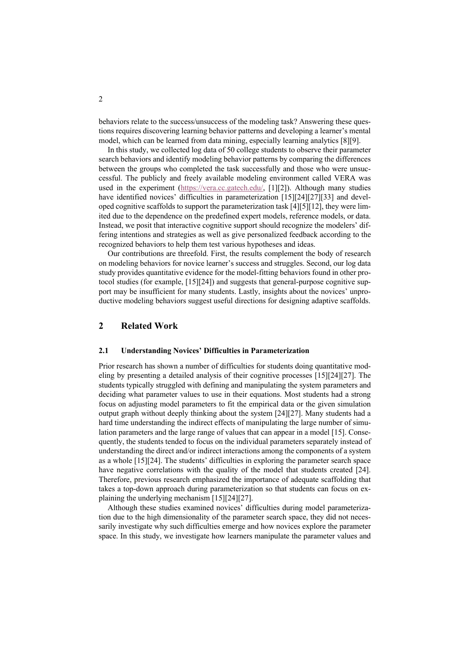behaviors relate to the success/unsuccess of the modeling task? Answering these questions requires discovering learning behavior patterns and developing a learner's mental model, which can be learned from data mining, especially learning analytics [8][9].

In this study, we collected log data of 50 college students to observe their parameter search behaviors and identify modeling behavior patterns by comparing the differences between the groups who completed the task successfully and those who were unsuccessful. The publicly and freely available modeling environment called VERA was used in the experiment (https://vera.cc.gatech.edu/, [1][2]). Although many studies have identified novices' difficulties in parameterization [15][24][27][33] and developed cognitive scaffolds to support the parameterization task  $[4][5][12]$ , they were limited due to the dependence on the predefined expert models, reference models, or data. Instead, we posit that interactive cognitive support should recognize the modelers' differing intentions and strategies as well as give personalized feedback according to the recognized behaviors to help them test various hypotheses and ideas.

Our contributions are threefold. First, the results complement the body of research on modeling behaviors for novice learner's success and struggles. Second, our log data study provides quantitative evidence for the model-fitting behaviors found in other protocol studies (for example, [15][24]) and suggests that general-purpose cognitive support may be insufficient for many students. Lastly, insights about the novices' unproductive modeling behaviors suggest useful directions for designing adaptive scaffolds.

# **2 Related Work**

#### **2.1 Understanding Novices' Difficulties in Parameterization**

Prior research has shown a number of difficulties for students doing quantitative modeling by presenting a detailed analysis of their cognitive processes [15][24][27]. The students typically struggled with defining and manipulating the system parameters and deciding what parameter values to use in their equations. Most students had a strong focus on adjusting model parameters to fit the empirical data or the given simulation output graph without deeply thinking about the system [24][27]. Many students had a hard time understanding the indirect effects of manipulating the large number of simulation parameters and the large range of values that can appear in a model [15]. Consequently, the students tended to focus on the individual parameters separately instead of understanding the direct and/or indirect interactions among the components of a system as a whole [15][24]. The students' difficulties in exploring the parameter search space have negative correlations with the quality of the model that students created [24]. Therefore, previous research emphasized the importance of adequate scaffolding that takes a top-down approach during parameterization so that students can focus on explaining the underlying mechanism [15][24][27].

Although these studies examined novices' difficulties during model parameterization due to the high dimensionality of the parameter search space, they did not necessarily investigate why such difficulties emerge and how novices explore the parameter space. In this study, we investigate how learners manipulate the parameter values and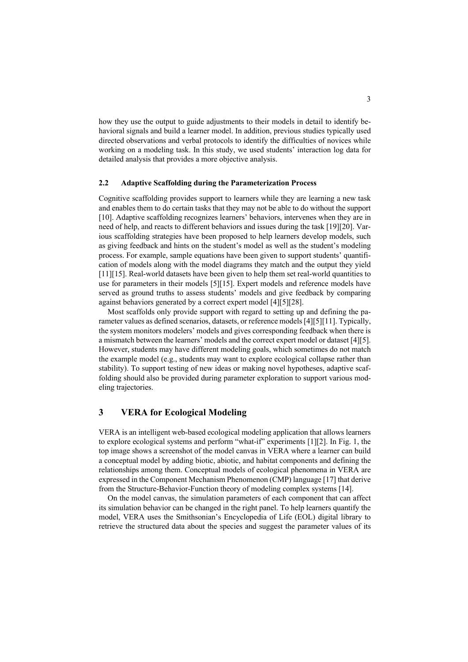how they use the output to guide adjustments to their models in detail to identify behavioral signals and build a learner model. In addition, previous studies typically used directed observations and verbal protocols to identify the difficulties of novices while working on a modeling task. In this study, we used students' interaction log data for detailed analysis that provides a more objective analysis.

#### **2.2 Adaptive Scaffolding during the Parameterization Process**

Cognitive scaffolding provides support to learners while they are learning a new task and enables them to do certain tasks that they may not be able to do without the support [10]. Adaptive scaffolding recognizes learners' behaviors, intervenes when they are in need of help, and reacts to different behaviors and issues during the task [19][20]. Various scaffolding strategies have been proposed to help learners develop models, such as giving feedback and hints on the student's model as well as the student's modeling process. For example, sample equations have been given to support students' quantification of models along with the model diagrams they match and the output they yield [11][15]. Real-world datasets have been given to help them set real-world quantities to use for parameters in their models [5][15]. Expert models and reference models have served as ground truths to assess students' models and give feedback by comparing against behaviors generated by a correct expert model [4][5][28].

Most scaffolds only provide support with regard to setting up and defining the parameter values as defined scenarios, datasets, or reference models [4][5][11]. Typically, the system monitors modelers' models and gives corresponding feedback when there is a mismatch between the learners' models and the correct expert model or dataset [4][5]. However, students may have different modeling goals, which sometimes do not match the example model (e.g., students may want to explore ecological collapse rather than stability). To support testing of new ideas or making novel hypotheses, adaptive scaffolding should also be provided during parameter exploration to support various modeling trajectories.

## **3 VERA for Ecological Modeling**

VERA is an intelligent web-based ecological modeling application that allows learners to explore ecological systems and perform "what-if" experiments [1][2]. In Fig. 1, the top image shows a screenshot of the model canvas in VERA where a learner can build a conceptual model by adding biotic, abiotic, and habitat components and defining the relationships among them. Conceptual models of ecological phenomena in VERA are expressed in the Component Mechanism Phenomenon (CMP) language [17] that derive from the Structure-Behavior-Function theory of modeling complex systems [14].

On the model canvas, the simulation parameters of each component that can affect its simulation behavior can be changed in the right panel. To help learners quantify the model, VERA uses the Smithsonian's Encyclopedia of Life (EOL) digital library to retrieve the structured data about the species and suggest the parameter values of its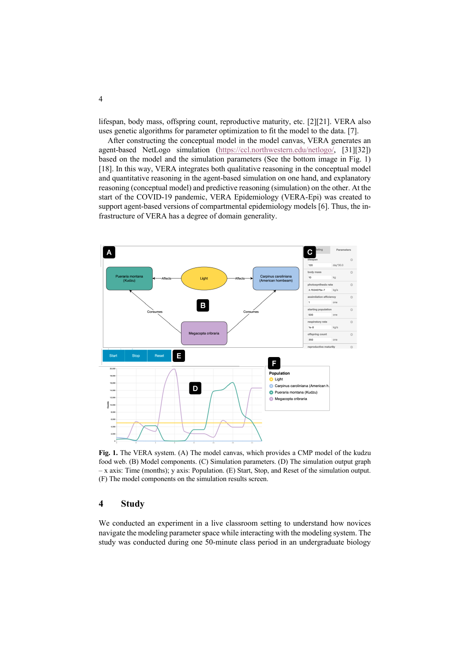lifespan, body mass, offspring count, reproductive maturity, etc. [2][21]. VERA also uses genetic algorithms for parameter optimization to fit the model to the data. [7].

After constructing the conceptual model in the model canvas, VERA generates an agent-based NetLogo simulation (https://ccl.northwestern.edu/netlogo/, [31][32]) based on the model and the simulation parameters (See the bottom image in Fig. 1) [18]. In this way, VERA integrates both qualitative reasoning in the conceptual model and quantitative reasoning in the agent-based simulation on one hand, and explanatory reasoning (conceptual model) and predictive reasoning (simulation) on the other. At the start of the COVID-19 pandemic, VERA Epidemiology (VERA-Epi) was created to support agent-based versions of compartmental epidemiology models [6]. Thus, the infrastructure of VERA has a degree of domain generality.



**Fig. 1.** The VERA system. (A) The model canvas, which provides a CMP model of the kudzu food web. (B) Model components. (C) Simulation parameters. (D) The simulation output graph – x axis: Time (months); y axis: Population. (E) Start, Stop, and Reset of the simulation output. (F) The model components on the simulation results screen.

# **4 Study**

We conducted an experiment in a live classroom setting to understand how novices navigate the modeling parameter space while interacting with the modeling system. The study was conducted during one 50-minute class period in an undergraduate biology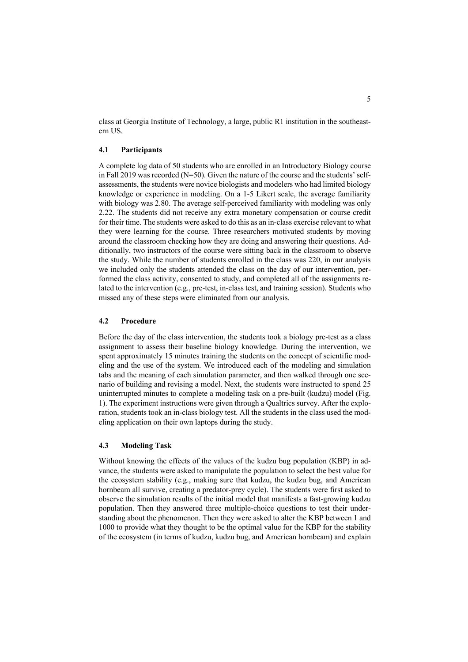class at Georgia Institute of Technology, a large, public R1 institution in the southeastern US.

### **4.1 Participants**

A complete log data of 50 students who are enrolled in an Introductory Biology course in Fall 2019 was recorded ( $N=50$ ). Given the nature of the course and the students' selfassessments, the students were novice biologists and modelers who had limited biology knowledge or experience in modeling. On a 1-5 Likert scale, the average familiarity with biology was 2.80. The average self-perceived familiarity with modeling was only 2.22. The students did not receive any extra monetary compensation or course credit for their time. The students were asked to do this as an in-class exercise relevant to what they were learning for the course. Three researchers motivated students by moving around the classroom checking how they are doing and answering their questions. Additionally, two instructors of the course were sitting back in the classroom to observe the study. While the number of students enrolled in the class was 220, in our analysis we included only the students attended the class on the day of our intervention, performed the class activity, consented to study, and completed all of the assignments related to the intervention (e.g., pre-test, in-class test, and training session). Students who missed any of these steps were eliminated from our analysis.

## **4.2 Procedure**

Before the day of the class intervention, the students took a biology pre-test as a class assignment to assess their baseline biology knowledge. During the intervention, we spent approximately 15 minutes training the students on the concept of scientific modeling and the use of the system. We introduced each of the modeling and simulation tabs and the meaning of each simulation parameter, and then walked through one scenario of building and revising a model. Next, the students were instructed to spend 25 uninterrupted minutes to complete a modeling task on a pre-built (kudzu) model (Fig. 1). The experiment instructions were given through a Qualtrics survey. After the exploration, students took an in-class biology test. All the students in the class used the modeling application on their own laptops during the study.

#### **4.3 Modeling Task**

Without knowing the effects of the values of the kudzu bug population (KBP) in advance, the students were asked to manipulate the population to select the best value for the ecosystem stability (e.g., making sure that kudzu, the kudzu bug, and American hornbeam all survive, creating a predator-prey cycle). The students were first asked to observe the simulation results of the initial model that manifests a fast-growing kudzu population. Then they answered three multiple-choice questions to test their understanding about the phenomenon. Then they were asked to alter the KBP between 1 and 1000 to provide what they thought to be the optimal value for the KBP for the stability of the ecosystem (in terms of kudzu, kudzu bug, and American hornbeam) and explain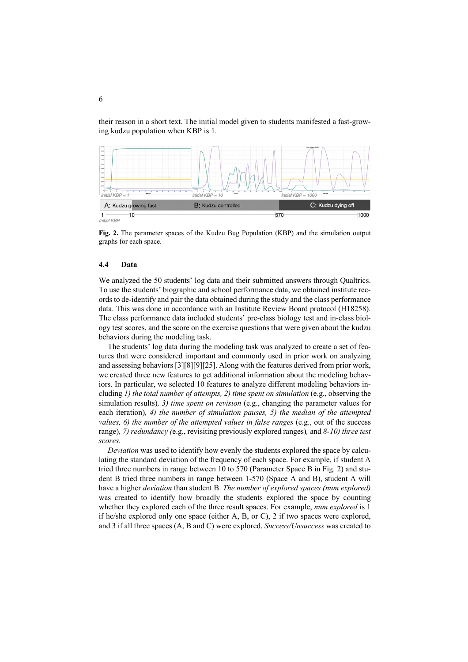their reason in a short text. The initial model given to students manifested a fast-growing kudzu population when KBP is 1.



**Fig. 2.** The parameter spaces of the Kudzu Bug Population (KBP) and the simulation output graphs for each space.

#### **4.4 Data**

We analyzed the 50 students' log data and their submitted answers through Qualtrics. To use the students' biographic and school performance data, we obtained institute records to de-identify and pair the data obtained during the study and the class performance data. This was done in accordance with an Institute Review Board protocol (H18258). The class performance data included students' pre-class biology test and in-class biology test scores, and the score on the exercise questions that were given about the kudzu behaviors during the modeling task.

The students' log data during the modeling task was analyzed to create a set of features that were considered important and commonly used in prior work on analyzing and assessing behaviors [3][8][9][25]. Along with the features derived from prior work, we created three new features to get additional information about the modeling behaviors. In particular, we selected 10 features to analyze different modeling behaviors including *1) the total number of attempts, 2) time spent on simulation* (e.g., observing the simulation results)*, 3) time spent on revision* (e.g., changing the parameter values for each iteration)*, 4) the number of simulation pauses, 5) the median of the attempted values, 6) the number of the attempted values in false ranges* (e.g., out of the success range)*, 7) redundancy (*e.g., revisiting previously explored ranges)*,* and *8-10) three test scores.*

*Deviation* was used to identify how evenly the students explored the space by calculating the standard deviation of the frequency of each space. For example, if student A tried three numbers in range between 10 to 570 (Parameter Space B in Fig. 2) and student B tried three numbers in range between 1-570 (Space A and B), student A will have a higher *deviation* than student B. *The number of explored spaces (num explored)*  was created to identify how broadly the students explored the space by counting whether they explored each of the three result spaces. For example, *num explored* is 1 if he/she explored only one space (either A, B, or C), 2 if two spaces were explored, and 3 if all three spaces (A, B and C) were explored. *Success/Unsuccess* was created to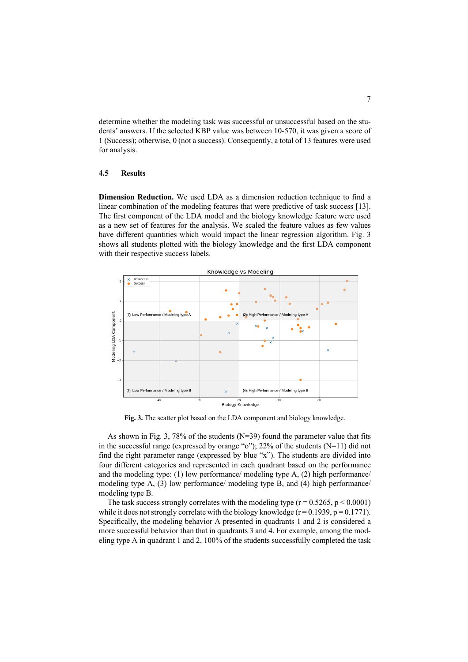determine whether the modeling task was successful or unsuccessful based on the students' answers. If the selected KBP value was between 10-570, it was given a score of 1 (Success); otherwise, 0 (not a success). Consequently, a total of 13 features were used for analysis.

#### **4.5 Results**

**Dimension Reduction.** We used LDA as a dimension reduction technique to find a linear combination of the modeling features that were predictive of task success [13]. The first component of the LDA model and the biology knowledge feature were used as a new set of features for the analysis. We scaled the feature values as few values have different quantities which would impact the linear regression algorithm. Fig. 3 shows all students plotted with the biology knowledge and the first LDA component with their respective success labels.



**Fig. 3.** The scatter plot based on the LDA component and biology knowledge.

As shown in Fig. 3, 78% of the students  $(N=39)$  found the parameter value that fits in the successful range (expressed by orange "o"); 22% of the students (N=11) did not find the right parameter range (expressed by blue "x"). The students are divided into four different categories and represented in each quadrant based on the performance and the modeling type: (1) low performance/ modeling type A, (2) high performance/ modeling type A, (3) low performance/ modeling type B, and (4) high performance/ modeling type B.

The task success strongly correlates with the modeling type  $(r = 0.5265, p \le 0.0001)$ while it does not strongly correlate with the biology knowledge  $(r = 0.1939, p = 0.1771)$ . Specifically, the modeling behavior A presented in quadrants 1 and 2 is considered a more successful behavior than that in quadrants 3 and 4. For example, among the modeling type A in quadrant 1 and 2, 100% of the students successfully completed the task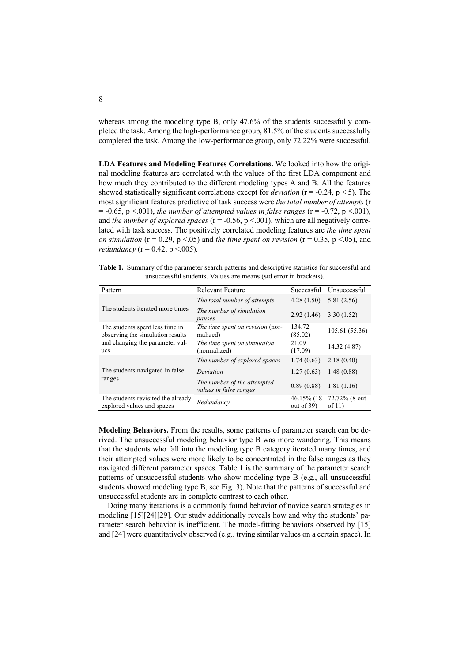whereas among the modeling type B, only 47.6% of the students successfully completed the task. Among the high-performance group, 81.5% of the students successfully completed the task. Among the low-performance group, only 72.22% were successful.

**LDA Features and Modeling Features Correlations.** We looked into how the original modeling features are correlated with the values of the first LDA component and how much they contributed to the different modeling types A and B. All the features showed statistically significant correlations except for *deviation* (r = -0.24, p <.5). The most significant features predictive of task success were *the total number of attempts* (r  $= -0.65$ , p  $\leq 0.01$ ), *the number of attempted values in false ranges* ( $r = -0.72$ , p  $\leq 0.01$ ), and *the number of explored spaces* ( $r = -0.56$ ,  $p < 0.01$ ). which are all negatively correlated with task success. The positively correlated modeling features are *the time spent on simulation* ( $r = 0.29$ ,  $p < 0.05$ ) and *the time spent on revision* ( $r = 0.35$ ,  $p < 0.05$ ), and *redundancy* ( $r = 0.42$ ,  $p < .005$ ).

**Table 1.** Summary of the parameter search patterns and descriptive statistics for successful and unsuccessful students. Values are means (std error in brackets).

| Pattern                                                             | <b>Relevant Feature</b>                               | Successful                   | Unsuccessful              |
|---------------------------------------------------------------------|-------------------------------------------------------|------------------------------|---------------------------|
| The students iterated more times                                    | The total number of attempts                          | 4.28(1.50)                   | 5.81(2.56)                |
|                                                                     | The number of simulation<br>pauses                    | 2.92(1.46)                   | 3.30(1.52)                |
| The students spent less time in<br>observing the simulation results | The time spent on revision (nor-<br>malized)          | 134.72<br>(85.02)            | 105.61 (55.36)            |
| and changing the parameter val-<br>ues                              | The time spent on simulation<br>(normalized)          | 21.09<br>(17.09)             | 14.32 (4.87)              |
| The students navigated in false<br>ranges                           | The number of explored spaces                         | 1.74(0.63)                   | 2.18(0.40)                |
|                                                                     | Deviation                                             | 1.27(0.63)                   | 1.48(0.88)                |
|                                                                     | The number of the attempted<br>values in false ranges | 0.89(0.88)                   | 1.81(1.16)                |
| The students revisited the already<br>explored values and spaces    | Redundancv                                            | 46.15% (18)<br>out of $39$ ) | 72.72% (8 out<br>of $11)$ |

**Modeling Behaviors.** From the results, some patterns of parameter search can be derived. The unsuccessful modeling behavior type B was more wandering. This means that the students who fall into the modeling type B category iterated many times, and their attempted values were more likely to be concentrated in the false ranges as they navigated different parameter spaces. Table 1 is the summary of the parameter search patterns of unsuccessful students who show modeling type B (e.g., all unsuccessful students showed modeling type B, see Fig. 3). Note that the patterns of successful and unsuccessful students are in complete contrast to each other.

Doing many iterations is a commonly found behavior of novice search strategies in modeling [15][24][29]. Our study additionally reveals how and why the students' parameter search behavior is inefficient. The model-fitting behaviors observed by [15] and [24] were quantitatively observed (e.g., trying similar values on a certain space). In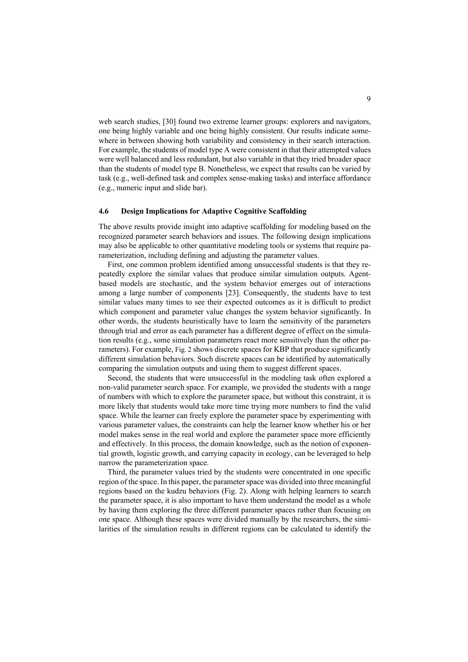web search studies, [30] found two extreme learner groups: explorers and navigators, one being highly variable and one being highly consistent. Our results indicate somewhere in between showing both variability and consistency in their search interaction. For example, the students of model type A were consistent in that their attempted values were well balanced and less redundant, but also variable in that they tried broader space than the students of model type B. Nonetheless, we expect that results can be varied by task (e.g., well-defined task and complex sense-making tasks) and interface affordance (e.g., numeric input and slide bar).

### **4.6 Design Implications for Adaptive Cognitive Scaffolding**

The above results provide insight into adaptive scaffolding for modeling based on the recognized parameter search behaviors and issues. The following design implications may also be applicable to other quantitative modeling tools or systems that require parameterization, including defining and adjusting the parameter values.

First, one common problem identified among unsuccessful students is that they repeatedly explore the similar values that produce similar simulation outputs. Agentbased models are stochastic, and the system behavior emerges out of interactions among a large number of components [23]. Consequently, the students have to test similar values many times to see their expected outcomes as it is difficult to predict which component and parameter value changes the system behavior significantly. In other words, the students heuristically have to learn the sensitivity of the parameters through trial and error as each parameter has a different degree of effect on the simulation results (e.g., some simulation parameters react more sensitively than the other parameters). For example, Fig. 2 shows discrete spaces for KBP that produce significantly different simulation behaviors. Such discrete spaces can be identified by automatically comparing the simulation outputs and using them to suggest different spaces.

Second, the students that were unsuccessful in the modeling task often explored a non-valid parameter search space. For example, we provided the students with a range of numbers with which to explore the parameter space, but without this constraint, it is more likely that students would take more time trying more numbers to find the valid space. While the learner can freely explore the parameter space by experimenting with various parameter values, the constraints can help the learner know whether his or her model makes sense in the real world and explore the parameter space more efficiently and effectively. In this process, the domain knowledge, such as the notion of exponential growth, logistic growth, and carrying capacity in ecology, can be leveraged to help narrow the parameterization space.

Third, the parameter values tried by the students were concentrated in one specific region of the space. In this paper, the parameter space was divided into three meaningful regions based on the kudzu behaviors (Fig. 2). Along with helping learners to search the parameter space, it is also important to have them understand the model as a whole by having them exploring the three different parameter spaces rather than focusing on one space. Although these spaces were divided manually by the researchers, the similarities of the simulation results in different regions can be calculated to identify the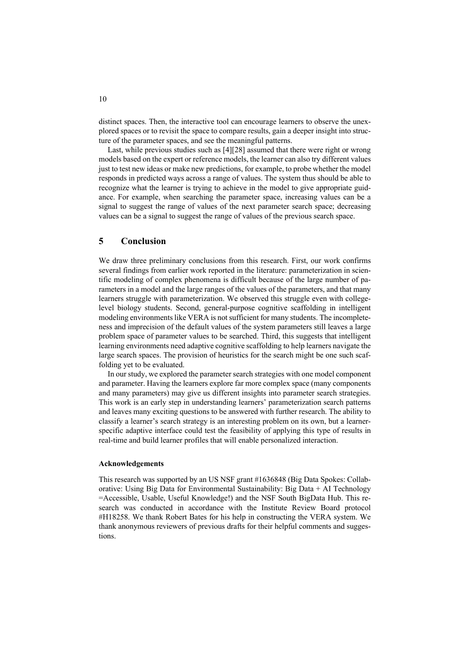distinct spaces. Then, the interactive tool can encourage learners to observe the unexplored spaces or to revisit the space to compare results, gain a deeper insight into structure of the parameter spaces, and see the meaningful patterns.

Last, while previous studies such as [4][28] assumed that there were right or wrong models based on the expert or reference models, the learner can also try different values just to test new ideas or make new predictions, for example, to probe whether the model responds in predicted ways across a range of values. The system thus should be able to recognize what the learner is trying to achieve in the model to give appropriate guidance. For example, when searching the parameter space, increasing values can be a signal to suggest the range of values of the next parameter search space; decreasing values can be a signal to suggest the range of values of the previous search space.

## **5 Conclusion**

We draw three preliminary conclusions from this research. First, our work confirms several findings from earlier work reported in the literature: parameterization in scientific modeling of complex phenomena is difficult because of the large number of parameters in a model and the large ranges of the values of the parameters, and that many learners struggle with parameterization. We observed this struggle even with collegelevel biology students. Second, general-purpose cognitive scaffolding in intelligent modeling environments like VERA is not sufficient for many students. The incompleteness and imprecision of the default values of the system parameters still leaves a large problem space of parameter values to be searched. Third, this suggests that intelligent learning environments need adaptive cognitive scaffolding to help learners navigate the large search spaces. The provision of heuristics for the search might be one such scaffolding yet to be evaluated.

In our study, we explored the parameter search strategies with one model component and parameter. Having the learners explore far more complex space (many components and many parameters) may give us different insights into parameter search strategies. This work is an early step in understanding learners' parameterization search patterns and leaves many exciting questions to be answered with further research. The ability to classify a learner's search strategy is an interesting problem on its own, but a learnerspecific adaptive interface could test the feasibility of applying this type of results in real-time and build learner profiles that will enable personalized interaction.

#### **Acknowledgements**

This research was supported by an US NSF grant #1636848 (Big Data Spokes: Collaborative: Using Big Data for Environmental Sustainability: Big Data + AI Technology =Accessible, Usable, Useful Knowledge!) and the NSF South BigData Hub. This research was conducted in accordance with the Institute Review Board protocol #H18258. We thank Robert Bates for his help in constructing the VERA system. We thank anonymous reviewers of previous drafts for their helpful comments and suggestions.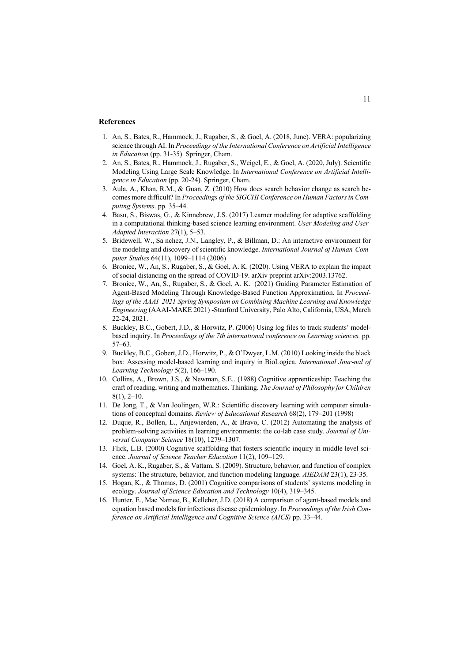#### **References**

- 1. An, S., Bates, R., Hammock, J., Rugaber, S., & Goel, A. (2018, June). VERA: popularizing science through AI. In *Proceedings of the International Conference on Artificial Intelligence in Education* (pp. 31-35). Springer, Cham.
- 2. An, S., Bates, R., Hammock, J., Rugaber, S., Weigel, E., & Goel, A. (2020, July). Scientific Modeling Using Large Scale Knowledge. In *International Conference on Artificial Intelligence in Education* (pp. 20-24). Springer, Cham.
- 3. Aula, A., Khan, R.M., & Guan, Z. (2010) How does search behavior change as search becomes more difficult? In *Proceedings of the SIGCHI Conference on Human Factors in Computing Systems*. pp. 35–44.
- 4. Basu, S., Biswas, G., & Kinnebrew, J.S. (2017) Learner modeling for adaptive scaffolding in a computational thinking-based science learning environment. *User Modeling and User-Adapted Interaction* 27(1), 5–53.
- 5. Bridewell, W., Sa nchez, J.N., Langley, P., & Billman, D.: An interactive environment for the modeling and discovery of scientific knowledge. *International Journal of Human-Computer Studies* 64(11), 1099–1114 (2006)
- 6. Broniec, W., An, S., Rugaber, S., & Goel, A. K. (2020). Using VERA to explain the impact of social distancing on the spread of COVID-19. arXiv preprint arXiv:2003.13762.
- 7. Broniec, W., An, S., Rugaber, S., & Goel, A. K. (2021) Guiding Parameter Estimation of Agent-Based Modeling Through Knowledge-Based Function Approximation. In *Proceedings of the AAAI 2021 Spring Symposium on Combining Machine Learning and Knowledge Engineering* (AAAI-MAKE 2021) -Stanford University, Palo Alto, California, USA, March 22-24, 2021.
- 8. Buckley, B.C., Gobert, J.D., & Horwitz, P. (2006) Using log files to track students' modelbased inquiry. In *Proceedings of the 7th international conference on Learning sciences.* pp. 57–63.
- 9. Buckley, B.C., Gobert, J.D., Horwitz, P., & O'Dwyer, L.M. (2010) Looking inside the black box: Assessing model-based learning and inquiry in BioLogica. *International Jour-nal of Learning Technology* 5(2), 166–190.
- 10. Collins, A., Brown, J.S., & Newman, S.E.. (1988) Cognitive apprenticeship: Teaching the craft of reading, writing and mathematics. Thinking. *The Journal of Philosophy for Children*  8(1), 2–10.
- 11. De Jong, T., & Van Joolingen, W.R.: Scientific discovery learning with computer simulations of conceptual domains. *Review of Educational Research* 68(2), 179–201 (1998)
- 12. Duque, R., Bollen, L., Anjewierden, A., & Bravo, C. (2012) Automating the analysis of problem-solving activities in learning environments: the co-lab case study. *Journal of Universal Computer Science* 18(10), 1279–1307.
- 13. Flick, L.B. (2000) Cognitive scaffolding that fosters scientific inquiry in middle level science. *Journal of Science Teacher Education* 11(2), 109–129.
- 14. Goel, A. K., Rugaber, S., & Vattam, S. (2009). Structure, behavior, and function of complex systems: The structure, behavior, and function modeling language. *AIEDAM* 23(1), 23-35.
- 15. Hogan, K., & Thomas, D. (2001) Cognitive comparisons of students' systems modeling in ecology. *Journal of Science Education and Technology* 10(4), 319–345.
- 16. Hunter, E., Mac Namee, B., Kelleher, J.D. (2018) A comparison of agent-based models and equation based models for infectious disease epidemiology. In *Proceedings of the Irish Conference on Artificial Intelligence and Cognitive Science (AICS)* pp. 33–44.